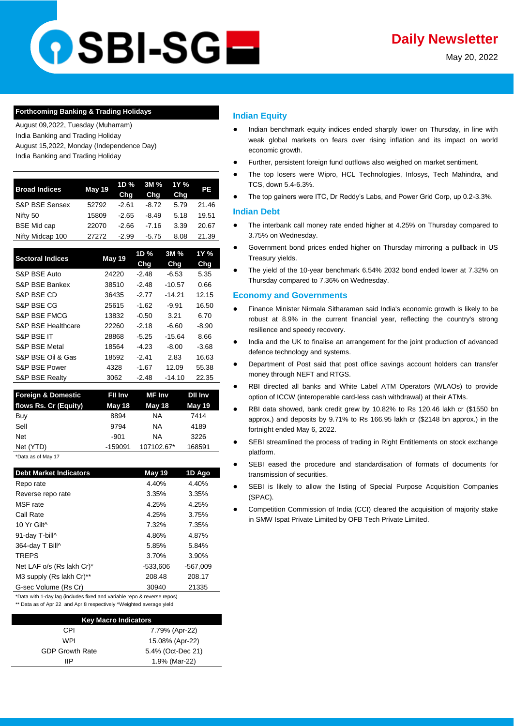# **DSBI-SGE**

May 20, 2022

### **Forthcoming Banking & Trading Holidays**

August 09,2022, Tuesday (Muharram) India Banking and Trading Holiday August 15,2022, Monday (Independence Day)

India Banking and Trading Holiday

| <b>Broad Indices</b>      | <b>May 19</b> | 1D %    | 3M %    | 1Y % | PE    |
|---------------------------|---------------|---------|---------|------|-------|
|                           |               | Chg     | Chq     | Chg  |       |
| <b>S&amp;P BSE Sensex</b> | 52792         | $-2.61$ | $-8.72$ | 5.79 | 21.46 |
| Nifty 50                  | 15809         | $-2.65$ | $-8.49$ | 5.18 | 19.51 |
| <b>BSE Mid cap</b>        | 22070         | $-2.66$ | $-7.16$ | 3.39 | 20.67 |
| Nifty Midcap 100          | 27272         | $-2.99$ | $-5.75$ | 8.08 | 21.39 |
|                           |               |         |         |      |       |

| <b>Sectoral Indices</b>  | May 19 | 1D %<br>Chg | 3M %<br>Chg | 1Y %<br>Chg |
|--------------------------|--------|-------------|-------------|-------------|
| S&P BSE Auto             | 24220  | $-2.48$     | $-6.53$     | 5.35        |
| S&P BSE Bankex           | 38510  | $-2.48$     | $-10.57$    | 0.66        |
| S&P BSE CD               | 36435  | $-2.77$     | $-14.21$    | 12.15       |
| S&P BSE CG               | 25615  | $-1.62$     | $-9.91$     | 16.50       |
| S&P BSE FMCG             | 13832  | $-0.50$     | 3.21        | 6.70        |
| S&P BSE Healthcare       | 22260  | $-2.18$     | -6.60       | $-8.90$     |
| S&P BSE IT               | 28868  | $-5.25$     | $-15.64$    | 8.66        |
| <b>S&amp;P BSE Metal</b> | 18564  | $-4.23$     | $-8.00$     | -3.68       |
| S&P BSE Oil & Gas        | 18592  | $-2.41$     | 2.83        | 16.63       |
| S&P BSE Power            | 4328   | $-1.67$     | 12.09       | 55.38       |
| S&P BSE Realty           | 3062   | $-2.48$     | $-14.10$    | 22.35       |

| <b>Foreign &amp; Domestic</b> | Fil Inv   | <b>MF</b> Inv | <b>Dil Inv</b> |
|-------------------------------|-----------|---------------|----------------|
| flows Rs. Cr (Equity)         | May 18    | May 18        | <b>May 19</b>  |
| Buy                           | 8894      | NA.           | 7414           |
| Sell                          | 9794      | ΝA            | 4189           |
| <b>Net</b>                    | $-901$    | NA.           | 3226           |
| Net (YTD)                     | $-159091$ | 107102.67*    | 168591         |
| *Data as of May 17            |           |               |                |

| <b>Debt Market Indicators</b> | May 19   | 1D Ago     |
|-------------------------------|----------|------------|
| Repo rate                     | 4.40%    | 4.40%      |
| Reverse repo rate             | 3.35%    | 3.35%      |
| MSF rate                      | 4.25%    | 4.25%      |
| Call Rate                     | 4.25%    | 3.75%      |
| 10 Yr Gilt^                   | 7.32%    | 7.35%      |
| 91-day T-bill^                | 4.86%    | 4.87%      |
| 364-day T Bill^               | 5.85%    | 5.84%      |
| <b>TREPS</b>                  | 3.70%    | 3.90%      |
| Net LAF o/s (Rs lakh Cr)*     | -533,606 | $-567,009$ |
| M3 supply (Rs lakh Cr)**      | 208.48   | 208.17     |
| G-sec Volume (Rs Cr)          | 30940    | 21335      |

\*Data with 1-day lag (includes fixed and variable repo & reverse repos) \*\* Data as of Apr 22 and Apr 8 respectively ^Weighted average yield

| <b>Key Macro Indicators</b> |                   |  |  |  |
|-----------------------------|-------------------|--|--|--|
| CPI                         | 7.79% (Apr-22)    |  |  |  |
| WPI                         | 15.08% (Apr-22)   |  |  |  |
| <b>GDP Growth Rate</b>      | 5.4% (Oct-Dec 21) |  |  |  |
| ШP                          | 1.9% (Mar-22)     |  |  |  |
|                             |                   |  |  |  |

# **Indian Equity**

- Indian benchmark equity indices ended sharply lower on Thursday, in line with weak global markets on fears over rising inflation and its impact on world economic growth.
- Further, persistent foreign fund outflows also weighed on market sentiment.
- The top losers were Wipro, HCL Technologies, Infosys, Tech Mahindra, and TCS, down 5.4-6.3%.
- The top gainers were ITC, Dr Reddy's Labs, and Power Grid Corp, up 0.2-3.3%.

### **Indian Debt**

- The interbank call money rate ended higher at 4.25% on Thursday compared to 3.75% on Wednesday.
- Government bond prices ended higher on Thursday mirroring a pullback in US Treasury yields.
- The yield of the 10-year benchmark 6.54% 2032 bond ended lower at 7.32% on Thursday compared to 7.36% on Wednesday.

## **Economy and Governments**

- Finance Minister Nirmala Sitharaman said India's economic growth is likely to be [robust at 8.9% in the current financial year, reflecting the country's strong](https://economictimes.indiatimes.com/news/economy/policy/indias-economic-growth-likely-to-be-robust-at-8-9-in-current-fiscal-fm-at-ndb/articleshow/91673100.cms)  [resilience and speedy recovery.](https://economictimes.indiatimes.com/news/economy/policy/indias-economic-growth-likely-to-be-robust-at-8-9-in-current-fiscal-fm-at-ndb/articleshow/91673100.cms)
- India and the UK to finalise an arrangement for the joint production of advanced [defence technology and systems.](https://economictimes.indiatimes.com/news/defence/india-uk-set-to-finalise-defence-tech-exchange-arrangement/articleshow/91670558.cms)
- Department of Post said that post office savings account holders can transfer [money through NEFT and RTGS.](https://economictimes.indiatimes.com/wealth/save/neft-rtgs-facility-to-be-available-for-post-office-savings-account-holders-from-this-date/articleshow/91657851.cms?utm_source=contentofinterest&utm_medium=text&utm_campaign=cppst)
- RBI directed all banks and White Label ATM Operators (WLAOs) to provide [option of ICCW \(interoperable card-less cash withdrawal\) at their ATMs.](https://www.business-standard.com/article/finance/rbi-seeks-option-of-interoperable-card-less-cash-withdrawal-at-atms-122051901244_1.html)
- [RBI data showed, bank credit grew by 10.82%](https://economictimes.indiatimes.com/industry/banking/finance/banking/bank-credit-grows-10-82-pc-deposits-rise-9-71-pc-rbi-data/articleshow/91672310.cms) to Rs 120.46 lakh cr (\$1550 bn [approx.\) and deposits by 9.71% to Rs 166.95 lakh cr \(\\$2148 bn approx.\) in the](https://economictimes.indiatimes.com/industry/banking/finance/banking/bank-credit-grows-10-82-pc-deposits-rise-9-71-pc-rbi-data/articleshow/91672310.cms)  [fortnight ended May 6, 2022.](https://economictimes.indiatimes.com/industry/banking/finance/banking/bank-credit-grows-10-82-pc-deposits-rise-9-71-pc-rbi-data/articleshow/91672310.cms)
- SEBI streamlined the process of trading in Right Entitlements on stock exchange [platform.](https://www.financialexpress.com/market/sebi-streamlines-process-of-trading-in-right-entitlements-on-exchange-platform/2530402/)
- SEBI eased the procedure and standardisation of formats of documents for [transmission of securities.](https://www.livemint.com/companies/news/sebi-simplifies-procedure-for-transmission-of-securities-11652886860432.html)
- SEBI is likely to allow the listing of Special Purpose Acquisition Companies [\(SPAC\).](https://www.thehindubusinessline.com/markets/sebi-readies-framework-for-spac-listing-in-india/article65430748.ece)
- Competition Commission of India (CCI) cleared the acquisition of majority stake [in SMW Ispat Private Limited by OFB Tech Private Limited.](https://www.livemint.com/companies/news/cci-approves-ofb-tech-s-acquisition-of-majority-stake-in-smw-ispat-11652953518246.html)